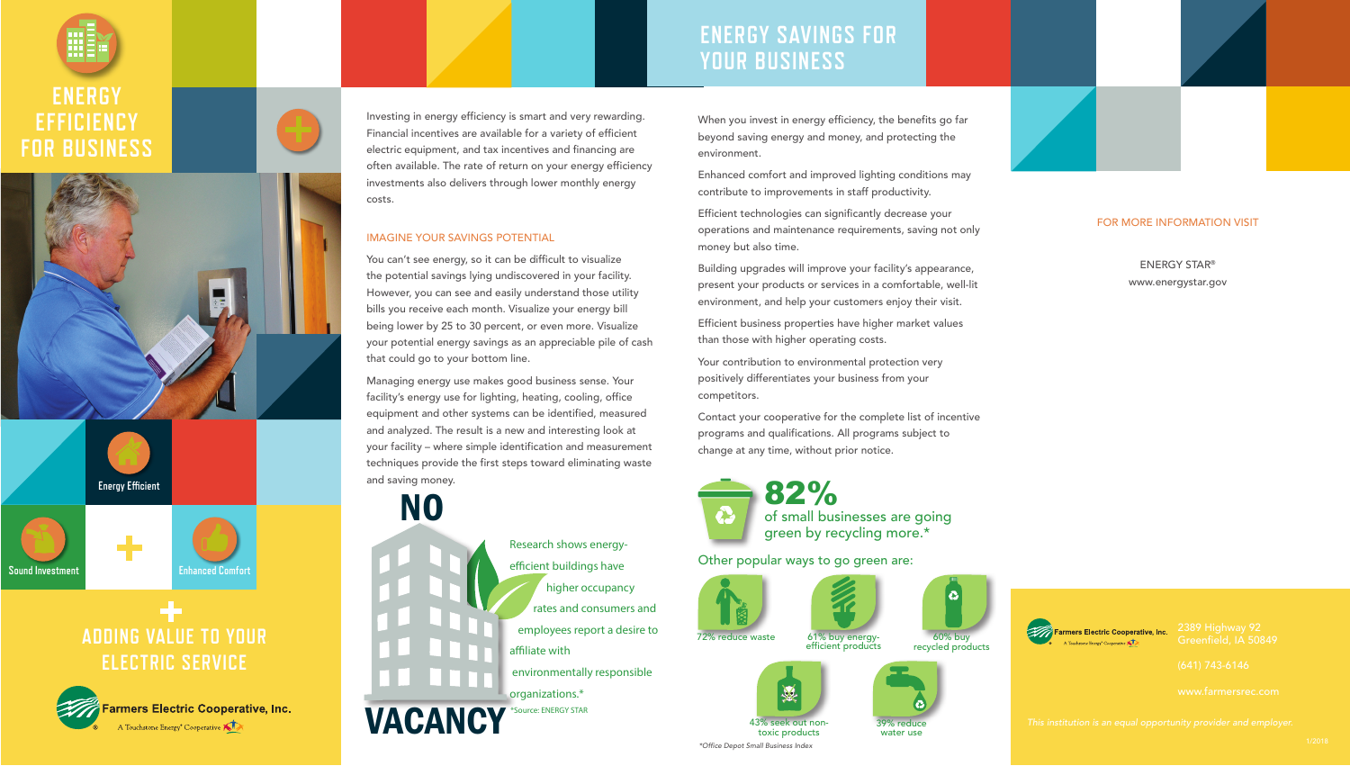



# **ADDING VALUE TO YOUR ELECTRIC SERVICE**



Investing in energy efficiency is smart and very rewarding. Financial incentives are available for a variety of efficient electric equipment, and tax incentives and financing are often available. The rate of return on your energy efficiency investments also delivers through lower monthly energy costs.

#### IMAGINE YOUR SAVINGS POTENTIAL

You can't see energy, so it can be difficult to visualize the potential savings lying undiscovered in your facility. However, you can see and easily understand those utility bills you receive each month. Visualize your energy bill being lower by 25 to 30 percent, or even more. Visualize your potential energy savings as an appreciable pile of cash that could go to your bottom line.

Managing energy use makes good business sense. Your facility's energy use for lighting, heating, cooling, office equipment and other systems can be identified, measured and analyzed. The result is a new and interesting look at your facility – where simple identification and measurement techniques provide the first steps toward eliminating waste and saving money.



seek out non toxic products \*Office Depot Small Business Index





ENERGY STAR® www.energystar.gov

Farmers Electric Cooperative, Inc. A Touchstone Energy<sup>\*</sup> Cooperative **KID** 



### **ENERGY SAVINGS FOR YOUR BUSINESS**

When you invest in energy efficiency, the benefits go far beyond saving energy and money, and protecting the environment.

Enhanced comfort and improved lighting conditions may contribute to improvements in staff productivity.

Efficient technologies can significantly decrease your operations and maintenance requirements, saving not only money but also time.

Building upgrades will improve your facility's appearance, present your products or services in a comfortable, well-lit environment, and help your customers enjoy their visit.

Efficient business properties have higher market values than those with higher operating costs.

Your contribution to environmental protection very positively differentiates your business from your competitors.

Contact your cooperative for the complete list of incentive programs and qualifications. All programs subject to change at any time, without prior notice.



82% of small businesses are going green by recycling more.\*

Other popular ways to go green are:









39% reduce water use